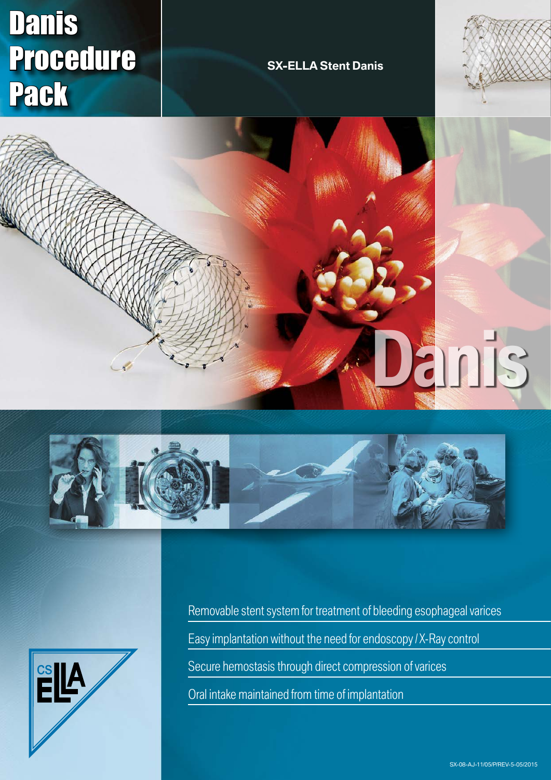# Danis Procedure Pack

# **SX-ELLA Stent Danis**









Removable stent system for treatment of bleeding esophageal varices Easy implantation without the need for endoscopy / X-Ray control Secure hemostasis through direct compression of varices Oral intake maintained from time of implantation